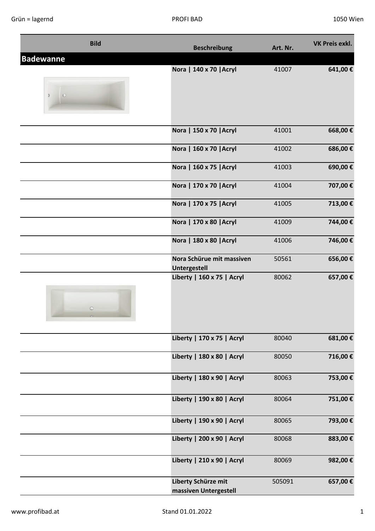| <b>Bild</b>      | <b>Beschreibung</b>                          | Art. Nr. | <b>VK Preis exkl.</b> |
|------------------|----------------------------------------------|----------|-----------------------|
| <b>Badewanne</b> |                                              |          |                       |
|                  | Nora   140 x 70   Acryl                      | 41007    | 641,00€               |
| $\circ$          |                                              |          |                       |
|                  | Nora   150 x 70   Acryl                      | 41001    | 668,00€               |
|                  | Nora   160 x 70   Acryl                      | 41002    | 686,00€               |
|                  | Nora   160 x 75   Acryl                      | 41003    | 690,00€               |
|                  | Nora   170 x 70   Acryl                      | 41004    | 707,00€               |
|                  | Nora   170 x 75   Acryl                      | 41005    | 713,00€               |
|                  | Nora   170 x 80   Acryl                      | 41009    | 744,00 €              |
|                  | Nora   180 x 80   Acryl                      | 41006    | 746,00€               |
|                  | Nora Schürue mit massiven<br>Untergestell    | 50561    | 656,00€               |
| $\circ$          | Liberty   160 x 75   Acryl                   | 80062    | 657,00€               |
|                  | Liberty   170 x 75   Acryl                   | 80040    | 681,00€               |
|                  | Liberty   180 x 80   Acryl                   | 80050    | 716,00€               |
|                  | Liberty   180 x 90   Acryl                   | 80063    | 753,00€               |
|                  | Liberty   190 x 80   Acryl                   | 80064    | 751,00€               |
|                  | Liberty   190 x 90   Acryl                   | 80065    | 793,00€               |
|                  | Liberty   200 x 90   Acryl                   | 80068    | 883,00€               |
|                  | Liberty   210 x 90   Acryl                   | 80069    | 982,00€               |
|                  | Liberty Schürze mit<br>massiven Untergestell | 505091   | 657,00€               |